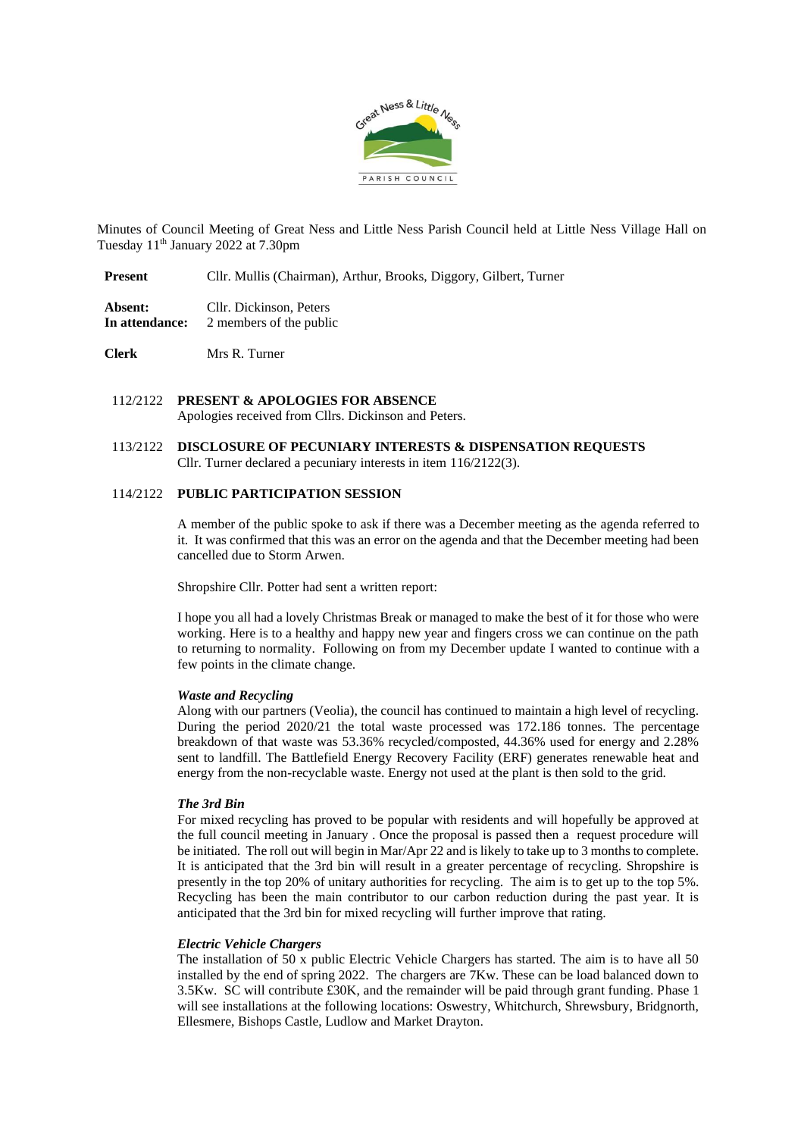

Minutes of Council Meeting of Great Ness and Little Ness Parish Council held at Little Ness Village Hall on Tuesday 11th January 2022 at 7.30pm

**Present** Cllr. Mullis (Chairman), Arthur, Brooks, Diggory, Gilbert, Turner

**Absent:** Cllr. Dickinson, Peters **In attendance:** 2 members of the public

**Clerk** Mrs R. Turner

- 112/2122 **PRESENT & APOLOGIES FOR ABSENCE** Apologies received from Cllrs. Dickinson and Peters.
- 113/2122 **DISCLOSURE OF PECUNIARY INTERESTS & DISPENSATION REQUESTS** Cllr. Turner declared a pecuniary interests in item 116/2122(3).

## 114/2122 **PUBLIC PARTICIPATION SESSION**

A member of the public spoke to ask if there was a December meeting as the agenda referred to it. It was confirmed that this was an error on the agenda and that the December meeting had been cancelled due to Storm Arwen.

Shropshire Cllr. Potter had sent a written report:

I hope you all had a lovely Christmas Break or managed to make the best of it for those who were working. Here is to a healthy and happy new year and fingers cross we can continue on the path to returning to normality. Following on from my December update I wanted to continue with a few points in the climate change.

## *Waste and Recycling*

Along with our partners (Veolia), the council has continued to maintain a high level of recycling. During the period 2020/21 the total waste processed was 172.186 tonnes. The percentage breakdown of that waste was 53.36% recycled/composted, 44.36% used for energy and 2.28% sent to landfill. The Battlefield Energy Recovery Facility (ERF) generates renewable heat and energy from the non-recyclable waste. Energy not used at the plant is then sold to the grid.

## *The 3rd Bin*

For mixed recycling has proved to be popular with residents and will hopefully be approved at the full council meeting in January . Once the proposal is passed then a request procedure will be initiated. The roll out will begin in Mar/Apr 22 and is likely to take up to 3 months to complete. It is anticipated that the 3rd bin will result in a greater percentage of recycling. Shropshire is presently in the top 20% of unitary authorities for recycling. The aim is to get up to the top 5%. Recycling has been the main contributor to our carbon reduction during the past year. It is anticipated that the 3rd bin for mixed recycling will further improve that rating.

### *Electric Vehicle Chargers*

The installation of 50 x public Electric Vehicle Chargers has started. The aim is to have all 50 installed by the end of spring 2022. The chargers are 7Kw. These can be load balanced down to 3.5Kw. SC will contribute £30K, and the remainder will be paid through grant funding. Phase 1 will see installations at the following locations: Oswestry, Whitchurch, Shrewsbury, Bridgnorth, Ellesmere, Bishops Castle, Ludlow and Market Drayton.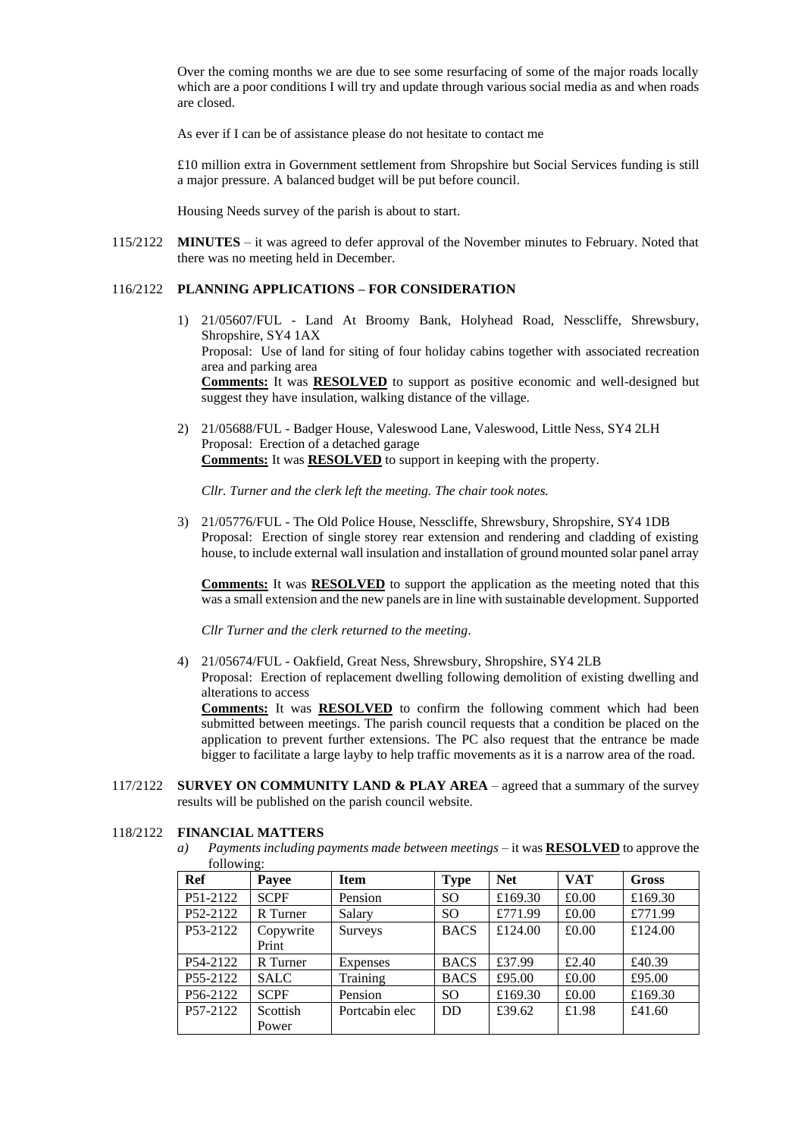Over the coming months we are due to see some resurfacing of some of the major roads locally which are a poor conditions I will try and update through various social media as and when roads are closed.

As ever if I can be of assistance please do not hesitate to contact me

£10 million extra in Government settlement from Shropshire but Social Services funding is still a major pressure. A balanced budget will be put before council.

Housing Needs survey of the parish is about to start.

115/2122 **MINUTES** – it was agreed to defer approval of the November minutes to February. Noted that there was no meeting held in December.

#### 116/2122 **PLANNING APPLICATIONS – FOR CONSIDERATION**

- 1) 21/05607/FUL Land At Broomy Bank, Holyhead Road, Nesscliffe, Shrewsbury, Shropshire, SY4 1AX Proposal: Use of land for siting of four holiday cabins together with associated recreation area and parking area **Comments:** It was **RESOLVED** to support as positive economic and well-designed but suggest they have insulation, walking distance of the village.
- 2) 21/05688/FUL Badger House, Valeswood Lane, Valeswood, Little Ness, SY4 2LH Proposal: Erection of a detached garage **Comments:** It was **RESOLVED** to support in keeping with the property.

*Cllr. Turner and the clerk left the meeting. The chair took notes.*

3) 21/05776/FUL - The Old Police House, Nesscliffe, Shrewsbury, Shropshire, SY4 1DB Proposal: Erection of single storey rear extension and rendering and cladding of existing house, to include external wall insulation and installation of ground mounted solar panel array

**Comments:** It was **RESOLVED** to support the application as the meeting noted that this was a small extension and the new panels are in line with sustainable development. Supported

*Cllr Turner and the clerk returned to the meeting.*

4) 21/05674/FUL - Oakfield, Great Ness, Shrewsbury, Shropshire, SY4 2LB

Proposal: Erection of replacement dwelling following demolition of existing dwelling and alterations to access

**Comments:** It was **RESOLVED** to confirm the following comment which had been submitted between meetings. The parish council requests that a condition be placed on the application to prevent further extensions. The PC also request that the entrance be made bigger to facilitate a large layby to help traffic movements as it is a narrow area of the road.

117/2122 **SURVEY ON COMMUNITY LAND & PLAY AREA** – agreed that a summary of the survey results will be published on the parish council website.

#### 118/2122 **FINANCIAL MATTERS**

*a) Payments including payments made between meetings* – it was **RESOLVED** to approve the following:

| Ref      | Payee              | <b>Item</b>     | <b>Type</b>     | <b>Net</b> | <b>VAT</b> | Gross   |
|----------|--------------------|-----------------|-----------------|------------|------------|---------|
| P51-2122 | <b>SCPF</b>        | Pension         | SO <sub>1</sub> | £169.30    | £0.00      | £169.30 |
| P52-2122 | R Turner           | Salary          | SO <sub>1</sub> | £771.99    | £0.00      | £771.99 |
| P53-2122 | Copywrite<br>Print | Surveys         | <b>BACS</b>     | £124.00    | £0.00      | £124.00 |
| P54-2122 | R Turner           | <b>Expenses</b> | <b>BACS</b>     | £37.99     | £2.40      | £40.39  |
| P55-2122 | <b>SALC</b>        | Training        | <b>BACS</b>     | £95.00     | £0.00      | £95.00  |
| P56-2122 | <b>SCPF</b>        | Pension         | SO.             | £169.30    | £0.00      | £169.30 |
| P57-2122 | Scottish<br>Power  | Portcabin elec  | <b>DD</b>       | £39.62     | £1.98      | £41.60  |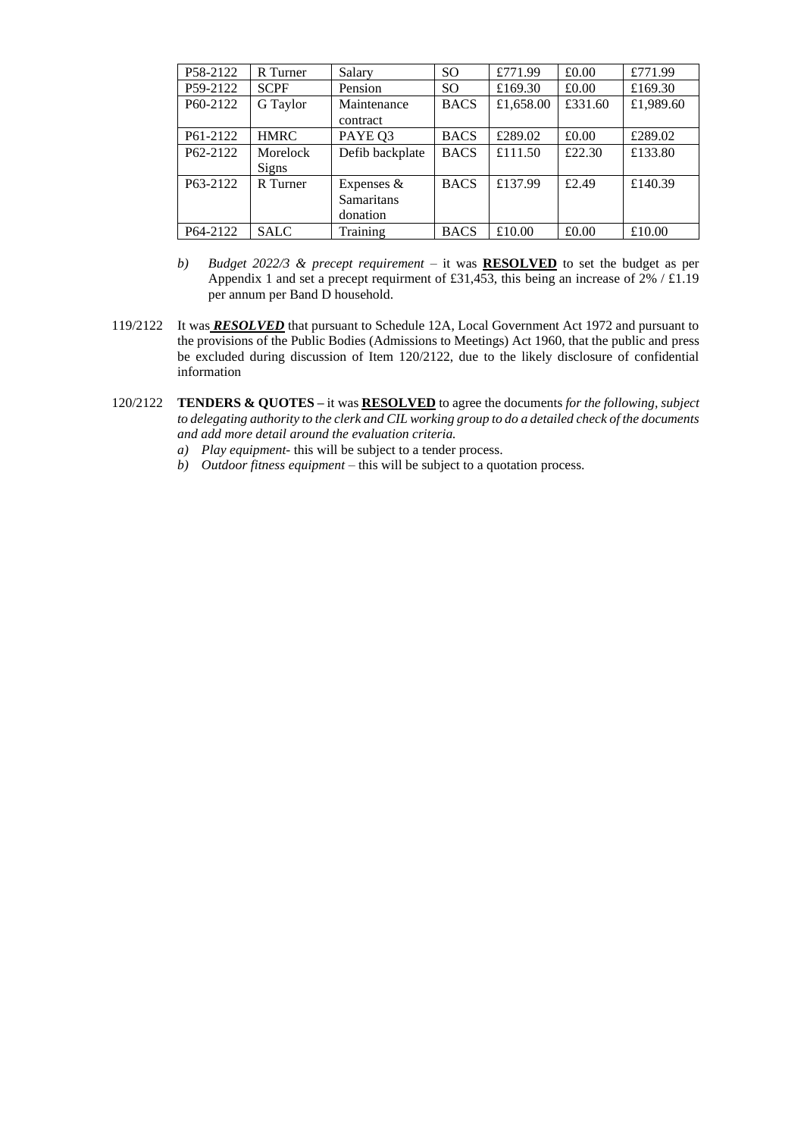| P58-2122              | R Turner     | Salary            | <sub>SO</sub> | £771.99   | £0.00   | £771.99   |
|-----------------------|--------------|-------------------|---------------|-----------|---------|-----------|
|                       |              |                   |               |           |         |           |
| P59-2122              | <b>SCPF</b>  | Pension           | <sub>SO</sub> | £169.30   | £0.00   | £169.30   |
| P <sub>60</sub> -2122 | G Taylor     | Maintenance       | <b>BACS</b>   | £1,658.00 | £331.60 | £1,989.60 |
|                       |              | contract          |               |           |         |           |
| P61-2122              | <b>HMRC</b>  | PAYE Q3           | <b>BACS</b>   | £289.02   | £0.00   | £289.02   |
| P62-2122              | Morelock     | Defib backplate   | <b>BACS</b>   | £111.50   | £22.30  | £133.80   |
|                       | <b>Signs</b> |                   |               |           |         |           |
| P <sub>63</sub> -2122 | R Turner     | Expenses $&$      | <b>BACS</b>   | £137.99   | £2.49   | £140.39   |
|                       |              | <b>Samaritans</b> |               |           |         |           |
|                       |              | donation          |               |           |         |           |
| P64-2122              | <b>SALC</b>  | Training          | <b>BACS</b>   | £10.00    | £0.00   | £10.00    |

- *b) Budget 2022/3 & precept requirement –* it was **RESOLVED** to set the budget as per Appendix 1 and set a precept requirment of £31,453, this being an increase of  $2\%$  / £1.19 per annum per Band D household.
- 119/2122 It was *RESOLVED* that pursuant to Schedule 12A, Local Government Act 1972 and pursuant to the provisions of the Public Bodies (Admissions to Meetings) Act 1960, that the public and press be excluded during discussion of Item 120/2122, due to the likely disclosure of confidential information
- 120/2122 **TENDERS & QUOTES –** it was **RESOLVED** to agree the documents *for the following, subject to delegating authority to the clerk and CIL working group to do a detailed check of the documents and add more detail around the evaluation criteria.*
	- *a) Play equipment-* this will be subject to a tender process.
	- *b) Outdoor fitness equipment –* this will be subject to a quotation process.